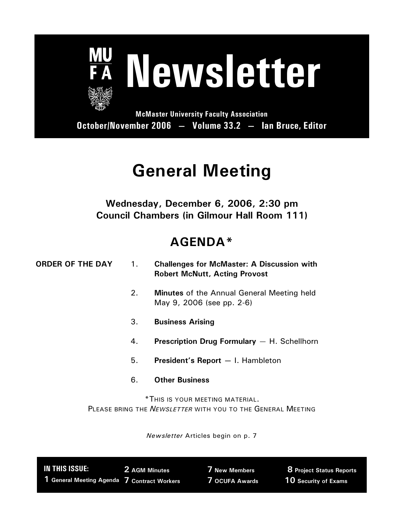

# **General Meeting**

## **Wednesday, December 6, 2006, 2:30 pm Council Chambers (in Gilmour Hall Room 111)**

# **AGENDA\***

| <b>ORDER OF THE DAY</b> | 1. | <b>Challenges for McMaster: A Discussion with</b><br><b>Robert McNutt, Acting Provost</b>             |
|-------------------------|----|-------------------------------------------------------------------------------------------------------|
|                         | 2. | <b>Minutes</b> of the Annual General Meeting held<br>May 9, 2006 (see pp. 2-6)                        |
|                         | 3. | <b>Business Arising</b>                                                                               |
|                         | 4. | <b>Prescription Drug Formulary</b> $-$ H. Schellhorn                                                  |
|                         | 5. | President's Report - I. Hambleton                                                                     |
|                         | 6. | <b>Other Business</b>                                                                                 |
|                         |    | *THIS IS YOUR MEETING MATERIAL.<br>PLEASE BRING THE <i>NEWSLETTER</i> WITH YOU TO THE GENERAL MEETING |

*Newsletter* Articles begin on p. 7

| IN THIS ISSUE:                              | 2 AGM Minutes | <b>7 New Members</b> | <b>8 Project Status Reports</b> |
|---------------------------------------------|---------------|----------------------|---------------------------------|
| 1 General Meeting Agenda 7 Contract Workers |               | 7 OCUFA Awards       | 10 Security of Exams            |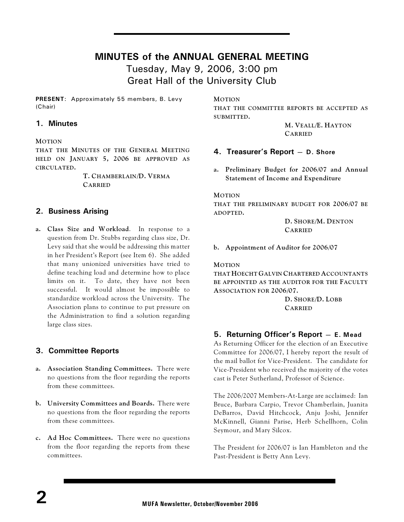### **MINUTES of the ANNUAL GENERAL MEETING**

Tuesday, May 9, 2006, 3:00 pm Great Hall of the University Club

**PRESENT**: Approximately 55 members, B. Levy (Chair)

### **1. Minutes**

### **MOTION**

**THAT THE MINUTES OF THE GENERAL MEETING HELD ON JANUARY 5, 2006 BE APPROVED AS CIRCULATED.**

> **T. CHAMBERLAIN/D. VERMA CARRIED**

### **2. Business Arising**

**a. Class Size and Workload**. In response to a question from Dr. Stubbs regarding class size, Dr. Levy said that she would be addressing this matter in her President's Report (see Item 6). She added that many unionized universities have tried to define teaching load and determine how to place limits on it. To date, they have not been successful. It would almost be impossible to standardize workload across the University. The Association plans to continue to put pressure on the Administration to find a solution regarding large class sizes.

### **3. Committee Reports**

- **a. Association Standing Committees.** There were no questions from the floor regarding the reports from these committees.
- **b. University Committees and Boards.** There were no questions from the floor regarding the reports from these committees.
- **c. Ad Hoc Committees.** There were no questions from the floor regarding the reports from these committees.

**MOTION**

**THAT THE COMMITTEE REPORTS BE ACCEPTED AS SUBMITTED.**

> **M. VEALL/E. HAYTON CARRIED**

### **4. Treasurer's Report — D. Shore**

**a. Preliminary Budget for 2006/07 and Annual Statement of Income and Expenditure**

**MOTION**

**THAT THE PRELIMINARY BUDGET FOR 2006/07 BE ADOPTED.**

> **D. SHORE/M. DENTON CARRIED**

**b. Appointment of Auditor for 2006/07**

**MOTION**

**THAT HOECHT GALVIN CHARTERED ACCOUNTANTS BE APPOINTED AS THE AUDITOR FOR THE FACULTY ASSOCIATION FOR 2006/07.**

> **D. SHORE/D. LOBB CARRIED**

### **5. Returning Officer's Report — E. Mead**

As Returning Officer for the election of an Executive Committee for 2006/07, I hereby report the result of the mail ballot for Vice-President. The candidate for Vice-President who received the majority of the votes cast is Peter Sutherland, Professor of Science.

The 2006/2007 Members-At-Large are acclaimed: Ian Bruce, Barbara Carpio, Trevor Chamberlain, Juanita DeBarros, David Hitchcock, Anju Joshi, Jennifer McKinnell, Gianni Parise, Herb Schellhorn, Colin Seymour, and Mary Silcox.

The President for 2006/07 is Ian Hambleton and the Past-President is Betty Ann Levy.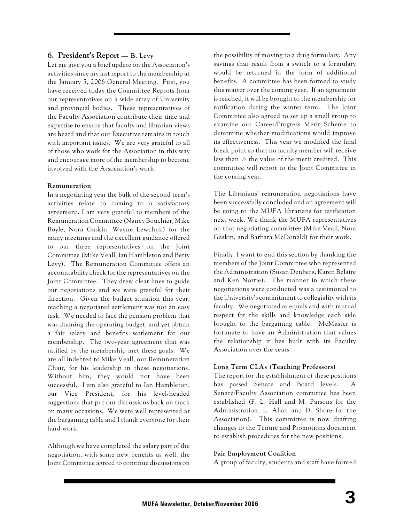### **6. President's Report — B. Levy**

Let me give you a brief update on the Association's activities since my last report to the membership at the January 5, 2006 General Meeting. First, you have received today the Committee Reports from our representatives on a wide array of University and provincial bodies. These representatives of the Faculty Association contribute their time and expertise to ensure that faculty and librarian views are heard and that our Executive remains in touch with important issues. We are very grateful to all of those who work for the Association in this way and encourage more of the membership to become involved with the Association's work.

### **Remuneration**

In a negotiating year the bulk of the second term's activities relate to coming to a satisfactory agreement. I am very grateful to members of the Remuneration Committee (Nancy Bouchier, Mike Boyle, Nora Gaskin, Wayne Lewchuk) for the many meetings and the excellent guidance offered to our three representatives on the Joint Committee (Mike Veall, Ian Hambleton and Betty Levy). The Remuneration Committee offers an accountability check for the representatives on the Joint Committee. They drew clear lines to guide our negotiations and we were grateful for their direction. Given the budget situation this year, reaching a negotiated settlement was not an easy task. We needed to face the pension problem that was draining the operating budget, and yet obtain a fair salary and benefits settlement for our membership. The two-year agreement that was ratified by the membership met these goals. We are all indebted to Mike Veall, our Remuneration Chair, for his leadership in these negotiations. Without him, they would not have been successful. I am also grateful to Ian Hambleton, our Vice President, for his level-headed suggestions that put our discussions back on track on many occasions. We were well represented at the bargaining table and I thank everyone for their hard work.

Although we have completed the salary part of the negotiation, with some new benefits as well, the Joint Committee agreed to continue discussions on the possibility of moving to a drug formulary. Any savings that result from a switch to a formulary would be returned in the form of additional benefits. A committee has been formed to study this matter over the coming year. If an agreement is reached, it will be brought to the membership for ratification during the winter term. The Joint Committee also agreed to set up a small group to examine our Career/Progress Merit Scheme to determine whether modifications would improve its effectiveness. This year we modified the final break point so that no faculty member will receive less than ½ the value of the merit credited. This committee will report to the Joint Committee in the coming year.

The Librarians' remuneration negotiations have been successfully concluded and an agreement will be going to the MUFA librarians for ratification next week. We thank the MUFA representatives on that negotiating committee (Mike Veall, Nora Gaskin, and Barbara McDonald) for their work.

Finally, I want to end this section by thanking the members of the Joint Committee who represented the Administration (Susan Denberg, Karen Belaire and Ken Norrie). The manner in which these negotiations were conducted was a testimonial to the University's commitment to collegiality with its faculty. We negotiated as equals and with mutual respect for the skills and knowledge each side brought to the bargaining table. McMaster is fortunate to have an Administration that values the relationship it has built with its Faculty Association over the years.

### **Long Term CLAs (Teaching Professors)**

The report for the establishment of these positions has passed Senate and Board levels. Senate/Faculty Association committee has been established (F. L. Hall and M. Parsons for the Administration; L. Allan and D. Shore for the Association). This committee is now drafting changes to the Tenure and Promotions document to establish procedures for the new positions.

### **Fair Employment Coalition**

A group of faculty, students and staff have formed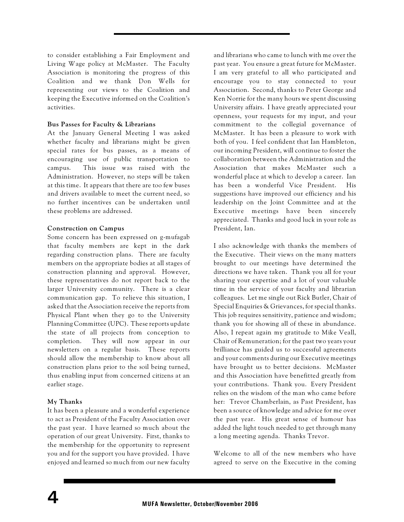to consider establishing a Fair Employment and Living Wage policy at McMaster. The Faculty Association is monitoring the progress of this Coalition and we thank Don Wells for representing our views to the Coalition and keeping the Executive informed on the Coalition's activities.

#### **Bus Passes for Faculty & Librarians**

At the January General Meeting I was asked whether faculty and librarians might be given special rates for bus passes, as a means of encouraging use of public transportation to campus. This issue was raised with the Administration. However, no steps will be taken at this time. It appears that there are too few buses and drivers available to meet the current need, so no further incentives can be undertaken until these problems are addressed.

### **Construction on Campus**

Some concern has been expressed on g-mufagab that faculty members are kept in the dark regarding construction plans. There are faculty members on the appropriate bodies at all stages of construction planning and approval. However, these representatives do not report back to the larger University community. There is a clear communication gap. To relieve this situation, I asked that the Association receive the reports from Physical Plant when they go to the University Planning Committee (UPC). These reports update the state of all projects from conception to completion. They will now appear in our newsletters on a regular basis. These reports should allow the membership to know about all construction plans prior to the soil being turned, thus enabling input from concerned citizens at an earlier stage.

### **My Thanks**

It has been a pleasure and a wonderful experience to act as President of the Faculty Association over the past year. I have learned so much about the operation of our great University. First, thanks to the membership for the opportunity to represent you and for the support you have provided. I have enjoyed and learned so much from our new faculty and librarians who came to lunch with me over the past year. You ensure a great future for McMaster. I am very grateful to all who participated and encourage you to stay connected to your Association. Second, thanks to Peter George and Ken Norrie for the many hours we spent discussing University affairs. I have greatly appreciated your openness, your requests for my input, and your commitment to the collegial governance of McMaster. It has been a pleasure to work with both of you. I feel confident that Ian Hambleton, our incoming President, will continue to foster the collaboration between the Administration and the Association that makes McMaster such a wonderful place at which to develop a career. Ian has been a wonderful Vice President. His suggestions have improved our efficiency and his leadership on the Joint Committee and at the Executive meetings have been sincerely appreciated. Thanks and good luck in your role as President, Ian.

I also acknowledge with thanks the members of the Executive. Their views on the many matters brought to our meetings have determined the directions we have taken. Thank you all for your sharing your expertise and a lot of your valuable time in the service of your faculty and librarian colleagues. Let me single out Rick Butler, Chair of Special Enquiries & Grievances, for special thanks. This job requires sensitivity, patience and wisdom; thank you for showing all of these in abundance. Also, I repeat again my gratitude to Mike Veall, Chair of Remuneration; for the past two years your brilliance has guided us to successful agreements and your comments during our Executive meetings have brought us to better decisions. McMaster and this Association have benefitted greatly from your contributions. Thank you. Every President relies on the wisdom of the man who came before her: Trevor Chamberlain, as Past President, has been a source of knowledge and advice for me over the past year. His great sense of humour has added the light touch needed to get through many a long meeting agenda. Thanks Trevor.

Welcome to all of the new members who have agreed to serve on the Executive in the coming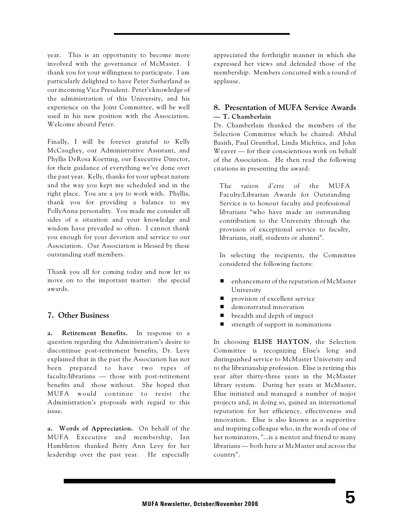year. This is an opportunity to become more involved with the governance of McMaster. I thank you for your willingness to participate. I am particularly delighted to have Peter Sutherland as our incoming Vice President. Peter's knowledge of the administration of this University, and his experience on the Joint Committee, will be well used in his new position with the Association. Welcome aboard Peter.

Finally, I will be forever grateful to Kelly McCaughey, our Administrative Assistant, and Phyllis DeRosa Koetting, our Executive Director, for their guidance of everything we've done over the past year. Kelly, thanks for your upbeat nature and the way you kept me scheduled and in the right place. You are a joy to work with. Phyllis, thank you for providing a balance to my PollyAnna personality. You made me consider all sides of a situation and your knowledge and wisdom have prevailed so often. I cannot thank you enough for your devotion and service to our Association. Our Association is blessed by these outstanding staff members.

Thank you all for coming today and now let us move on to the important matter: the special awards.

### **7. Other Business**

**a. Retirement Benefits.** In response to a question regarding the Administration's desire to discontinue post-retirement benefits, Dr. Levy explained that in the past the Association has not been prepared to have two types of faculty/librarians — those with post-retirement benefits and those without. She hoped that MUFA would continue to resist the Administration's proposals with regard to this issue.

**a. Words of Appreciation.** On behalf of the MUFA Executive and membership, Ian Hambleton thanked Betty Ann Levy for her leadership over the past year. He especially appreciated the forthright manner in which she expressed her views and defended those of the membership. Members concurred with a round of applause.

### **8. Presentation of MUFA Service Awards — T. Chamberlain**

Dr. Chamberlain thanked the members of the Selection Committee which he chaired: Abdul Basith, Paul Grunthal, Linda Michtics, and John Weaver — for their conscientious work on behalf of the Association. He then read the following citations in presenting the award:

The *raison d'etre* of the MUFA Faculty/Librarian Awards for Outstanding Service is to honour faculty and professional librarians "who have made an outstanding contribution to the University through the provision of exceptional service to faculty, librarians, staff, students or alumni".

In selecting the recipients, the Committee considered the following factors:

- $\blacksquare$  enhancement of the reputation of McMaster University
- $\blacksquare$  provision of excellent service
- **E** demonstrated innovation
- $\blacksquare$  breadth and depth of impact
- $\blacksquare$  strength of support in nominations

In choosing **ELISE HAYTON**, the Selection Committee is recognizing Elise's long and distinguished service to McMaster University and to the librarianship profession. Elise is retiring this year after thirty-three years in the McMaster library system. During her years at McMaster, Elise initiated and managed a number of major projects and, in doing so, gained an international reputation for her efficiency, effectiveness and innovation. Elise is also known as a supportive and inspiring colleague who, in the words of one of her nominators, "...is a mentor and friend to many librarians — both here at McMaster and across the country".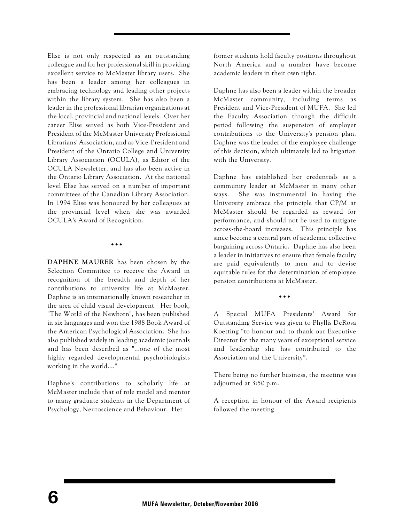Elise is not only respected as an outstanding colleague and for her professional skill in providing excellent service to McMaster library users. She has been a leader among her colleagues in embracing technology and leading other projects within the library system. She has also been a leader in the professional librarian organizations at the local, provincial and national levels. Over her career Elise served as both Vice-President and President of the McMaster University Professional Librarians' Association, and as Vice-President and President of the Ontario College and University Library Association (OCULA), as Editor of the OCULA Newsletter, and has also been active in the Ontario Library Association. At the national level Elise has served on a number of important committees of the Canadian Library Association. In 1994 Elise was honoured by her colleagues at the provincial level when she was awarded OCULA's Award of Recognition.

**…** 

**DAPHNE MAURER** has been chosen by the Selection Committee to receive the Award in recognition of the breadth and depth of her contributions to university life at McMaster. Daphne is an internationally known researcher in the area of child visual development. Her book, "The World of the Newborn", has been published in six languages and won the 1988 Book Award of the American Psychological Association. She has also published widely in leading academic journals and has been described as "...one of the most highly regarded developmental psychobiologists working in the world...."

Daphne's contributions to scholarly life at McMaster include that of role model and mentor to many graduate students in the Department of Psychology, Neuroscience and Behaviour. Her

former students hold faculty positions throughout North America and a number have become academic leaders in their own right.

Daphne has also been a leader within the broader McMaster community, including terms as President and Vice-President of MUFA. She led the Faculty Association through the difficult period following the suspension of employer contributions to the University's pension plan. Daphne was the leader of the employee challenge of this decision, which ultimately led to litigation with the University.

Daphne has established her credentials as a community leader at McMaster in many other ways. She was instrumental in having the University embrace the principle that CP/M at McMaster should be regarded as reward for performance, and should not be used to mitigate across-the-board increases. This principle has since become a central part of academic collective bargaining across Ontario. Daphne has also been a leader in initiatives to ensure that female faculty are paid equivalently to men and to devise equitable rules for the determination of employee pension contributions at McMaster.

**…**

A Special MUFA Presidents' Award for Outstanding Service was given to Phyllis DeRosa Koetting "to honour and to thank our Executive Director for the many years of exceptional service and leadership she has contributed to the Association and the University".

There being no further business, the meeting was adjourned at 3:50 p.m.

A reception in honour of the Award recipients followed the meeting.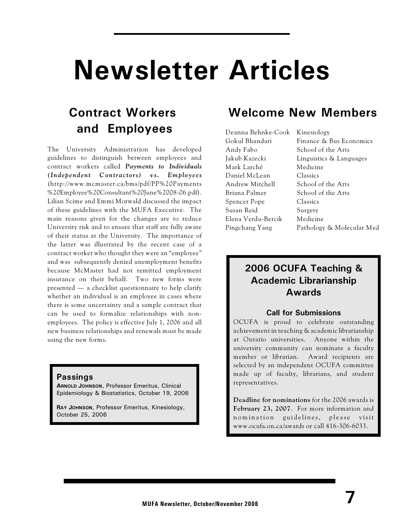# **Newsletter Articles**

# **Contract Workers and Employees**

The University Administration has developed guidelines to distinguish between employees and contract workers called *Payments to Individuals (Ind epend ent C ontra ctors) vs. Emplo y ees* (http://www.mcmaster.ca/bms/pdf/PP%20Payments %20Employee%20Consultant%20June%2008-06.pdf). Lilian Scime and Emmi Morwald discussed the impact of these guidelines with the MUFA Executive. The main reasons given for the changes are to reduce University risk and to ensure that staff are fully aware of their status at the University. The importance of the latter was illustrated by the recent case of a contract worker who thought they were an "employee" and was subsequently denied unemployment benefits because McMaster had not remitted employment insurance on their behalf. Two new forms were presented — a checklist questionnaire to help clarify whether an individual is an employee in cases where there is some uncertainty and a sample contract that can be used to formalize relationships with nonemployees. The policy is effective July 1, 2006 and all new business relationships and renewals must be made using the new forms.

### **Passings**

**ARNOLD JOHNSON**, Professor Emeritus, Clinical Epidemiology & Biostatistics, October 19, 2006

**RAY JOHNSON**, Professor Emeritus, Kinesiology, October 25, 2006

## **Welcome New Members**

Deanna Behnke-Cook Kinesiology Andy Fabo School of the Arts Mark Larché Medicine Daniel McLean Classics Andrew Mitchell School of the Arts Briana Palmer School of the Arts Spencer Pope Classics Susan Reid Surgery Elena Verdu-Bercik Medicine

Gokul Bhandari Finance & Bus Economics Jakub Kazecki Linguistics & Languages Pingchang Yang Pathology & Molecular Med

## **2006 OCUFA Teaching & Academic Librarianship Awards**

### **Call for Submissions**

OCUFA is proud to celebrate outstanding achievement in teaching & academic librarianship at Ontario universities. Anyone within the university community can nominate a faculty member or librarian. Award recipients are selected by an independent OCUFA committee made up of faculty, librarians, and student representatives.

**Deadline for nominations** for the 2006 awards is **February 23, 2007**. For more information and nomination guidelines, please visit www.ocufa.on.ca/awards or call 416-306-6033.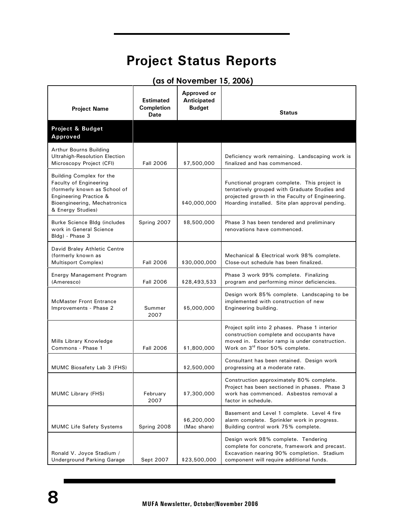# **Project Status Reports**

| <b>Project Name</b>                                                                                                                                               | <b>Estimated</b><br><b>Completion</b><br><b>Date</b> | Approved or<br>Anticipated<br><b>Budget</b> | <b>Status</b>                                                                                                                                                                                       |
|-------------------------------------------------------------------------------------------------------------------------------------------------------------------|------------------------------------------------------|---------------------------------------------|-----------------------------------------------------------------------------------------------------------------------------------------------------------------------------------------------------|
| Project & Budget<br>Approved                                                                                                                                      |                                                      |                                             |                                                                                                                                                                                                     |
| Arthur Bourns Building<br><b>Ultrahigh-Resolution Election</b><br>Microscopy Project (CFI)                                                                        | <b>Fall 2006</b>                                     | \$7,500,000                                 | Deficiency work remaining. Landscaping work is<br>finalized and has commenced.                                                                                                                      |
| Building Complex for the<br>Faculty of Engineering<br>(formerly known as School of<br>Engineering Practice &<br>Bioengineering, Mechatronics<br>& Energy Studies) |                                                      | \$40,000,000                                | Functional program complete. This project is<br>tentatively grouped with Graduate Studies and<br>projected growth in the Faculty of Engineering.<br>Hoarding installed. Site plan approval pending. |
| Burke Science Bldg (includes<br>work in General Science<br>Bldg) - Phase 3                                                                                        | Spring 2007                                          | \$8,500,000                                 | Phase 3 has been tendered and preliminary<br>renovations have commenced.                                                                                                                            |
| David Braley Athletic Centre<br>(formerly known as<br>Multisport Complex)                                                                                         | <b>Fall 2006</b>                                     | \$30,000,000                                | Mechanical & Electrical work 98% complete.<br>Close-out schedule has been finalized.                                                                                                                |
| Energy Management Program<br>(Ameresco)                                                                                                                           | <b>Fall 2006</b>                                     | \$28,493,533                                | Phase 3 work 99% complete. Finalizing<br>program and performing minor deficiencies.                                                                                                                 |
| <b>McMaster Front Entrance</b><br>Improvements - Phase 2                                                                                                          | Summer<br>2007                                       | \$5,000,000                                 | Design work 85% complete. Landscaping to be<br>implemented with construction of new<br>Engineering building.                                                                                        |
| Mills Library Knowledge<br>Commons - Phase 1                                                                                                                      | <b>Fall 2006</b>                                     | \$1,800,000                                 | Project split into 2 phases. Phase 1 interior<br>construction complete and occupants have<br>moved in. Exterior ramp is under construction.<br>Work on 3rd floor 50% complete.                      |
| MUMC Biosafety Lab 3 (FHS)                                                                                                                                        |                                                      | \$2,500,000                                 | Consultant has been retained. Design work<br>progressing at a moderate rate.                                                                                                                        |
| MUMC Library (FHS)                                                                                                                                                | February<br>2007                                     | \$7,300,000                                 | Construction approximately 80% complete.<br>Project has been sectioned in phases. Phase 3<br>work has commenced. Asbestos removal a<br>factor in schedule.                                          |
| <b>MUMC Life Safety Systems</b>                                                                                                                                   | Spring 2008                                          | \$6,200,000<br>(Mac share)                  | Basement and Level 1 complete. Level 4 fire<br>alarm complete. Sprinkler work in progress.<br>Building control work 75% complete.                                                                   |
| Ronald V. Joyce Stadium /<br><b>Underground Parking Garage</b>                                                                                                    | Sept 2007                                            | \$23,500,000                                | Design work 98% complete. Tendering<br>complete for concrete, framework and precast.<br>Excavation nearing 90% completion. Stadium<br>component will require additional funds.                      |

### **(as of November 15, 2006)**

Ξ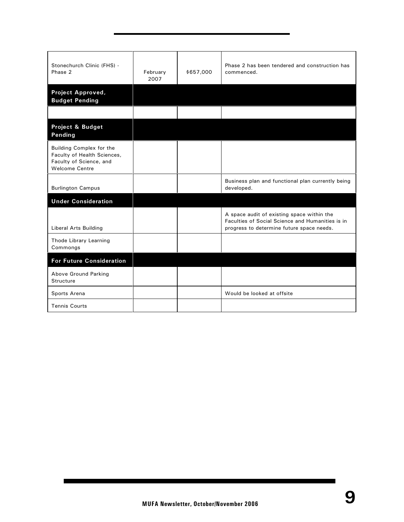| Stonechurch Clinic (FHS) -<br>Phase 2                                                                       | February<br>2007 | \$657,000 | Phase 2 has been tendered and construction has<br>commenced.                                                                                |
|-------------------------------------------------------------------------------------------------------------|------------------|-----------|---------------------------------------------------------------------------------------------------------------------------------------------|
| Project Approved,<br><b>Budget Pending</b>                                                                  |                  |           |                                                                                                                                             |
|                                                                                                             |                  |           |                                                                                                                                             |
| Project & Budget<br>Pending                                                                                 |                  |           |                                                                                                                                             |
| Building Complex for the<br>Faculty of Health Sciences,<br>Faculty of Science, and<br><b>Welcome Centre</b> |                  |           |                                                                                                                                             |
| <b>Burlington Campus</b>                                                                                    |                  |           | Business plan and functional plan currently being<br>developed.                                                                             |
| <b>Under Consideration</b>                                                                                  |                  |           |                                                                                                                                             |
| <b>Liberal Arts Building</b>                                                                                |                  |           | A space audit of existing space within the<br>Faculties of Social Science and Humanities is in<br>progress to determine future space needs. |
| Thode Library Learning<br>Commongs                                                                          |                  |           |                                                                                                                                             |
| <b>For Future Consideration</b>                                                                             |                  |           |                                                                                                                                             |
| Above Ground Parking<br>Structure                                                                           |                  |           |                                                                                                                                             |
| Sports Arena                                                                                                |                  |           | Would be looked at offsite                                                                                                                  |
| <b>Tennis Courts</b>                                                                                        |                  |           |                                                                                                                                             |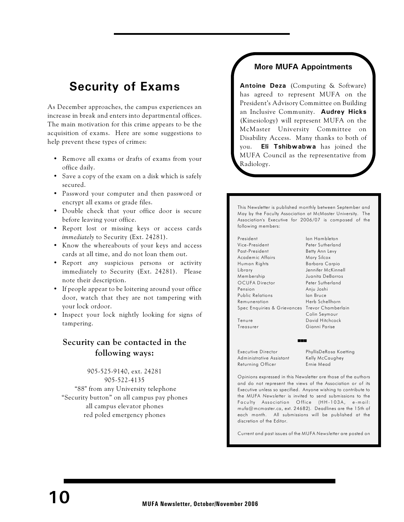## **Security of Exams**

As December approaches, the campus experiences an increase in break and enters into departmental offices. The main motivation for this crime appears to be the acquisition of exams. Here are some suggestions to help prevent these types of crimes:

- Remove all exams or drafts of exams from your office daily.
- Save a copy of the exam on a disk which is safely secured.
- Password your computer and then password or encrypt all exams or grade files.
- Double check that your office door is secure before leaving your office.
- Report lost or missing keys or access cards *immediately* to Security (Ext. 24281).
- Know the whereabouts of your keys and access cards at all time, and do not loan them out.
- Report *any* suspicious persons or activity immediately to Security (Ext. 24281). Please note their description.
- If people appear to be loitering around your office door, watch that they are not tampering with your lock ordoor.
- Inspect your lock nightly looking for signs of tampering.

### **Security can be contacted in the following ways:**

### 905-525-9140, ext. 24281 905-522-4135

 "88" from any University telephone "Security button" on all campus pay phones all campus elevator phones red poled emergency phones

### **More MUFA Appointments**

**Antoine Deza** (Computing & Software) has agreed to represent MUFA on the President's Advisory Committee on Building an Inclusive Community. **Audrey Hicks** (Kinesiology) will represent MUFA on the McMaster University Committee on Disability Access. Many thanks to both of you. **Eli Tshibwabwa** has joined the MUFA Council as the representative from Radiology.

This Newsletter is published monthly between September and May by the Faculty Association at McMaster University. The Association's Executive for 2006/07 is composed of the following members:

President Ian Hambleton Vice-President Peter Sutherland Past-President Betty Ann Levy Academic Affairs Mary Silcox Human Rights Barbara Carpio Library Jennifer McKinnell Membership Juanita DeBarros OCUFA Director Peter Sutherland Pension Anju Joshi Public Relations Ian Bruce Remuneration Herb Schellhorn Spec Enquiries & G rievances Trevor Chamberlain

Colin Seymour Tenure David Hitchcock Treasurer Gianni Parise

Executive Director PhyllisDeRosa Koetting<br>Administrative Assistant Kelly McCaughey Administrative Assistant Returning Officer Ernie Mead

Opinions expressed in this Newsletter are those of the authors and do not represent the views of the Association or of its Executive unless so specified. Anyone wishing to contribute to the MUFA *Newsletter* is invited to send submissions to the Faculty Association Office (HH-103A, e-mail: mufa@mcmaster.ca, ext. 24682). Deadlines are the 15th of each month. All submissions will be published at the discretion of the Editor.

(((

Current and past issues of the MUFA *Newsletter* are posted on